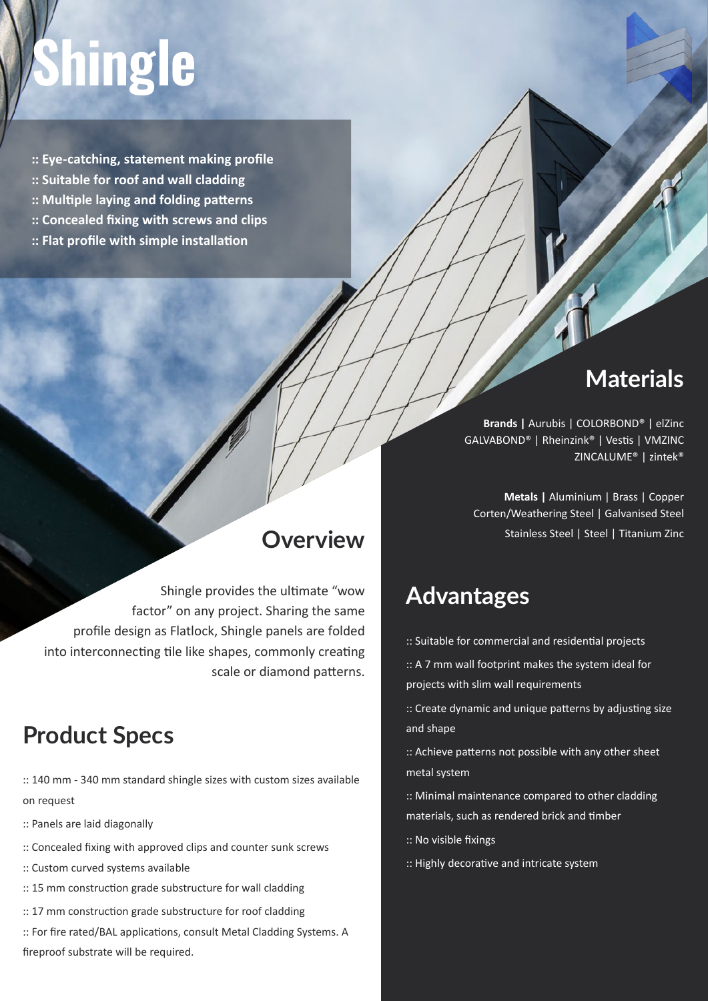# **hingle**

- **:: Eye-catching, statement making profile**
- **:: Suitable for roof and wall cladding**
- **:: Multiple laying and folding patterns**
- **:: Concealed fixing with screws and clips**
- **:: Flat profile with simple installation**

# **Materials**

**Brands |** Aurubis | COLORBOND® | elZinc GALVABOND® | Rheinzink® | Vestis | VMZINC ZINCALUME® | zintek®

**Metals |** Aluminium | Brass | Copper Corten/Weathering Steel | Galvanised Steel Stainless Steel | Steel | Titanium Zinc

# **Advantages**

**Overview**

Shingle provides the ultimate "wow

scale or diamond patterns.

factor" on any project. Sharing the same

profile design as Flatlock, Shingle panels are folded

into interconnecting tile like shapes, commonly creating

- :: Suitable for commercial and residential projects
- :: A 7 mm wall footprint makes the system ideal for projects with slim wall requirements

:: Create dynamic and unique patterns by adjusting size and shape

:: Achieve patterns not possible with any other sheet metal system

:: Minimal maintenance compared to other cladding materials, such as rendered brick and timber

- :: No visible fixings
- :: Highly decorative and intricate system

### **Product Specs**

:: 140 mm - 340 mm standard shingle sizes with custom sizes available on request

- :: Panels are laid diagonally
- :: Concealed fixing with approved clips and counter sunk screws
- :: Custom curved systems available
- :: 15 mm construction grade substructure for wall cladding
- :: 17 mm construction grade substructure for roof cladding
- :: For fire rated/BAL applications, consult Metal Cladding Systems. A fireproof substrate will be required.